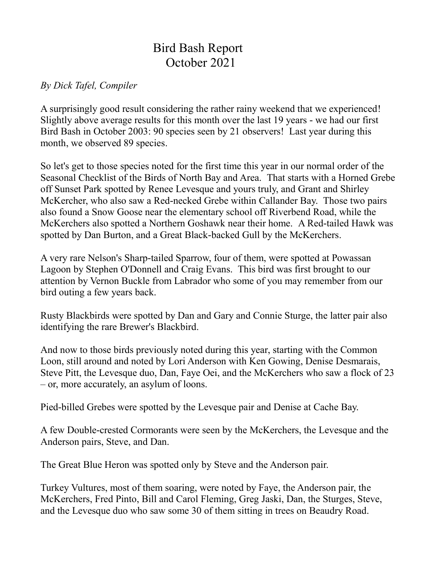## Bird Bash Report October 2021

## *By Dick Tafel, Compiler*

A surprisingly good result considering the rather rainy weekend that we experienced! Slightly above average results for this month over the last 19 years - we had our first Bird Bash in October 2003: 90 species seen by 21 observers! Last year during this month, we observed 89 species.

So let's get to those species noted for the first time this year in our normal order of the Seasonal Checklist of the Birds of North Bay and Area. That starts with a Horned Grebe off Sunset Park spotted by Renee Levesque and yours truly, and Grant and Shirley McKercher, who also saw a Red-necked Grebe within Callander Bay. Those two pairs also found a Snow Goose near the elementary school off Riverbend Road, while the McKerchers also spotted a Northern Goshawk near their home. A Red-tailed Hawk was spotted by Dan Burton, and a Great Black-backed Gull by the McKerchers.

A very rare Nelson's Sharp-tailed Sparrow, four of them, were spotted at Powassan Lagoon by Stephen O'Donnell and Craig Evans. This bird was first brought to our attention by Vernon Buckle from Labrador who some of you may remember from our bird outing a few years back.

Rusty Blackbirds were spotted by Dan and Gary and Connie Sturge, the latter pair also identifying the rare Brewer's Blackbird.

And now to those birds previously noted during this year, starting with the Common Loon, still around and noted by Lori Anderson with Ken Gowing, Denise Desmarais, Steve Pitt, the Levesque duo, Dan, Faye Oei, and the McKerchers who saw a flock of 23 – or, more accurately, an asylum of loons.

Pied-billed Grebes were spotted by the Levesque pair and Denise at Cache Bay.

A few Double-crested Cormorants were seen by the McKerchers, the Levesque and the Anderson pairs, Steve, and Dan.

The Great Blue Heron was spotted only by Steve and the Anderson pair.

Turkey Vultures, most of them soaring, were noted by Faye, the Anderson pair, the McKerchers, Fred Pinto, Bill and Carol Fleming, Greg Jaski, Dan, the Sturges, Steve, and the Levesque duo who saw some 30 of them sitting in trees on Beaudry Road.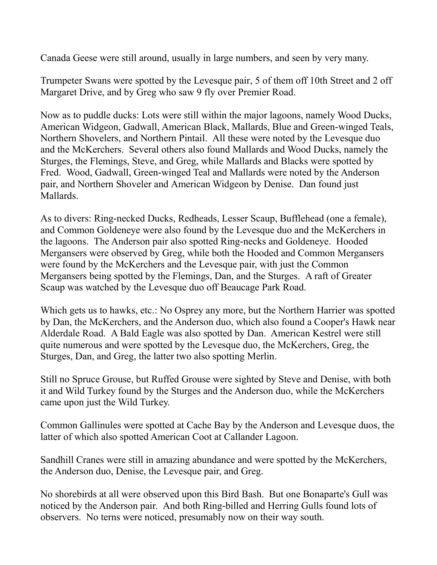Canada Geese were still around, usually in large numbers, and seen by very many.

Trumpeter Swans were spotted by the Levesque pair, 5 of them off 10th Street and 2 off Margaret Drive, and by Greg who saw 9 fly over Premier Road.

Now as to puddle ducks: Lots were still within the major lagoons, namely Wood Ducks, American Widgeon, Gadwall, American Black, Mallards, Blue and Green-winged Teals, Northern Shovelers, and Northern Pintail. All these were noted by the Levesque duo and the McKerchers. Several others also found Mallards and Wood Ducks, namely the Sturges, the Flemings, Steve, and Greg, while Mallards and Blacks were spotted by Fred. Wood, Gadwall, Green-winged Teal and Mallards were noted by the Anderson pair, and Northern Shoveler and American Widgeon by Denise. Dan found just Mallards.

As to divers: Ring-necked Ducks, Redheads, Lesser Scaup, Bufflehead (one a female), and Common Goldeneye were also found by the Levesque duo and the McKerchers in the lagoons. The Anderson pair also spotted Ring-necks and Goldeneye. Hooded Mergansers were observed by Greg, while both the Hooded and Common Mergansers were found by the McKerchers and the Levesque pair, with just the Common Mergansers being spotted by the Flemings, Dan, and the Sturges. A raft of Greater Scaup was watched by the Levesque duo off Beaucage Park Road.

Which gets us to hawks, etc.: No Osprey any more, but the Northern Harrier was spotted by Dan, the McKerchers, and the Anderson duo, which also found a Cooper's Hawk near Alderdale Road. A Bald Eagle was also spotted by Dan. American Kestrel were still quite numerous and were spotted by the Levesque duo, the McKerchers, Greg, the Sturges, Dan, and Greg, the latter two also spotting Merlin.

Still no Spruce Grouse, but Ruffed Grouse were sighted by Steve and Denise, with both it and Wild Turkey found by the Sturges and the Anderson duo, while the McKerchers came upon just the Wild Turkey.

Common Gallinules were spotted at Cache Bay by the Anderson and Levesque duos, the latter of which also spotted American Coot at Callander Lagoon.

Sandhill Cranes were still in amazing abundance and were spotted by the McKerchers, the Anderson duo, Denise, the Levesque pair, and Greg.

No shorebirds at all were observed upon this Bird Bash. But one Bonaparte's Gull was noticed by the Anderson pair. And both Ring-billed and Herring Gulls found lots of observers. No terns were noticed, presumably now on their way south.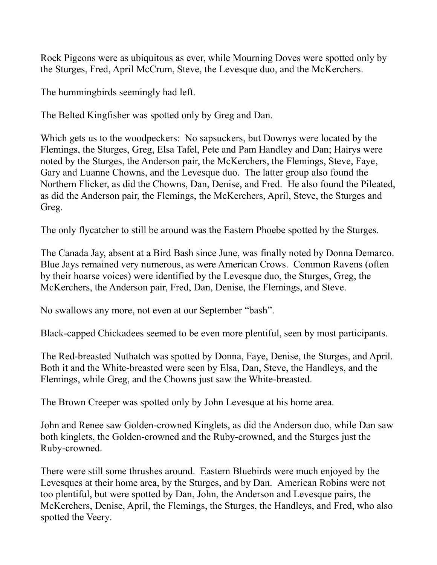Rock Pigeons were as ubiquitous as ever, while Mourning Doves were spotted only by the Sturges, Fred, April McCrum, Steve, the Levesque duo, and the McKerchers.

The hummingbirds seemingly had left.

The Belted Kingfisher was spotted only by Greg and Dan.

Which gets us to the woodpeckers: No sapsuckers, but Downys were located by the Flemings, the Sturges, Greg, Elsa Tafel, Pete and Pam Handley and Dan; Hairys were noted by the Sturges, the Anderson pair, the McKerchers, the Flemings, Steve, Faye, Gary and Luanne Chowns, and the Levesque duo. The latter group also found the Northern Flicker, as did the Chowns, Dan, Denise, and Fred. He also found the Pileated, as did the Anderson pair, the Flemings, the McKerchers, April, Steve, the Sturges and Greg.

The only flycatcher to still be around was the Eastern Phoebe spotted by the Sturges.

The Canada Jay, absent at a Bird Bash since June, was finally noted by Donna Demarco. Blue Jays remained very numerous, as were American Crows. Common Ravens (often by their hoarse voices) were identified by the Levesque duo, the Sturges, Greg, the McKerchers, the Anderson pair, Fred, Dan, Denise, the Flemings, and Steve.

No swallows any more, not even at our September "bash".

Black-capped Chickadees seemed to be even more plentiful, seen by most participants.

The Red-breasted Nuthatch was spotted by Donna, Faye, Denise, the Sturges, and April. Both it and the White-breasted were seen by Elsa, Dan, Steve, the Handleys, and the Flemings, while Greg, and the Chowns just saw the White-breasted.

The Brown Creeper was spotted only by John Levesque at his home area.

John and Renee saw Golden-crowned Kinglets, as did the Anderson duo, while Dan saw both kinglets, the Golden-crowned and the Ruby-crowned, and the Sturges just the Ruby-crowned.

There were still some thrushes around. Eastern Bluebirds were much enjoyed by the Levesques at their home area, by the Sturges, and by Dan. American Robins were not too plentiful, but were spotted by Dan, John, the Anderson and Levesque pairs, the McKerchers, Denise, April, the Flemings, the Sturges, the Handleys, and Fred, who also spotted the Veery.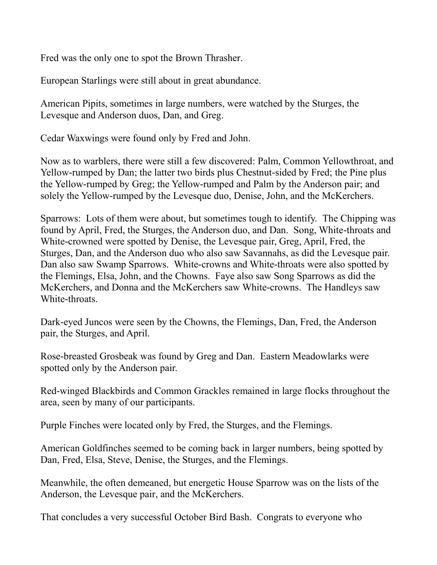Fred was the only one to spot the Brown Thrasher.

European Starlings were still about in great abundance.

American Pipits, sometimes in large numbers, were watched by the Sturges, the Levesque and Anderson duos, Dan, and Greg.

Cedar Waxwings were found only by Fred and John.

Now as to warblers, there were still a few discovered: Palm, Common Yellowthroat, and Yellow-rumped by Dan; the latter two birds plus Chestnut-sided by Fred; the Pine plus the Yellow-rumped by Greg; the Yellow-rumped and Palm by the Anderson pair; and solely the Yellow-rumped by the Levesque duo, Denise, John, and the McKerchers.

Sparrows: Lots of them were about, but sometimes tough to identify. The Chipping was found by April, Fred, the Sturges, the Anderson duo, and Dan. Song, White-throats and White-crowned were spotted by Denise, the Levesque pair, Greg, April, Fred, the Sturges, Dan, and the Anderson duo who also saw Savannahs, as did the Levesque pair. Dan also saw Swamp Sparrows. White-crowns and White-throats were also spotted by the Flemings, Elsa, John, and the Chowns. Faye also saw Song Sparrows as did the McKerchers, and Donna and the McKerchers saw White-crowns. The Handleys saw White-throats.

Dark-eyed Juncos were seen by the Chowns, the Flemings, Dan, Fred, the Anderson pair, the Sturges, and April.

Rose-breasted Grosbeak was found by Greg and Dan. Eastern Meadowlarks were spotted only by the Anderson pair.

Red-winged Blackbirds and Common Grackles remained in large flocks throughout the area, seen by many of our participants.

Purple Finches were located only by Fred, the Sturges, and the Flemings.

American Goldfinches seemed to be coming back in larger numbers, being spotted by Dan, Fred, Elsa, Steve, Denise, the Sturges, and the Flemings.

Meanwhile, the often demeaned, but energetic House Sparrow was on the lists of the Anderson, the Levesque pair, and the McKerchers.

That concludes a very successful October Bird Bash. Congrats to everyone who